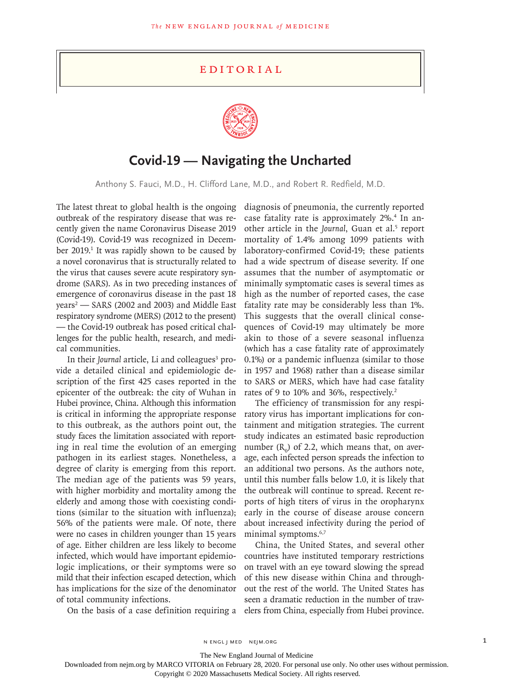## **EDITORIAL**



## **Covid-19 — Navigating the Uncharted**

Anthony S. Fauci, M.D., H. Clifford Lane, M.D., and Robert R. Redfield, M.D.

The latest threat to global health is the ongoing outbreak of the respiratory disease that was recently given the name Coronavirus Disease 2019 (Covid-19). Covid-19 was recognized in December 2019.<sup>1</sup> It was rapidly shown to be caused by a novel coronavirus that is structurally related to the virus that causes severe acute respiratory syndrome (SARS). As in two preceding instances of emergence of coronavirus disease in the past 18 years2 — SARS (2002 and 2003) and Middle East respiratory syndrome (MERS) (2012 to the present) — the Covid-19 outbreak has posed critical challenges for the public health, research, and medical communities.

In their Journal article, Li and colleagues<sup>3</sup> provide a detailed clinical and epidemiologic description of the first 425 cases reported in the epicenter of the outbreak: the city of Wuhan in Hubei province, China. Although this information is critical in informing the appropriate response to this outbreak, as the authors point out, the study faces the limitation associated with reporting in real time the evolution of an emerging pathogen in its earliest stages. Nonetheless, a degree of clarity is emerging from this report. The median age of the patients was 59 years, with higher morbidity and mortality among the elderly and among those with coexisting conditions (similar to the situation with influenza); 56% of the patients were male. Of note, there were no cases in children younger than 15 years of age. Either children are less likely to become infected, which would have important epidemiologic implications, or their symptoms were so mild that their infection escaped detection, which has implications for the size of the denominator of total community infections.

diagnosis of pneumonia, the currently reported case fatality rate is approximately 2%.4 In another article in the *Journal*, Guan et al.<sup>5</sup> report mortality of 1.4% among 1099 patients with laboratory-confirmed Covid-19; these patients had a wide spectrum of disease severity. If one assumes that the number of asymptomatic or minimally symptomatic cases is several times as high as the number of reported cases, the case fatality rate may be considerably less than 1%. This suggests that the overall clinical consequences of Covid-19 may ultimately be more akin to those of a severe seasonal influenza (which has a case fatality rate of approximately 0.1%) or a pandemic influenza (similar to those in 1957 and 1968) rather than a disease similar to SARS or MERS, which have had case fatality rates of 9 to 10% and 36%, respectively.<sup>2</sup>

The efficiency of transmission for any respiratory virus has important implications for containment and mitigation strategies. The current study indicates an estimated basic reproduction number  $(R_0)$  of 2.2, which means that, on average, each infected person spreads the infection to an additional two persons. As the authors note, until this number falls below 1.0, it is likely that the outbreak will continue to spread. Recent reports of high titers of virus in the oropharynx early in the course of disease arouse concern about increased infectivity during the period of minimal symptoms.<sup>6,7</sup>

On the basis of a case definition requiring a elers from China, especially from Hubei province. China, the United States, and several other countries have instituted temporary restrictions on travel with an eye toward slowing the spread of this new disease within China and throughout the rest of the world. The United States has seen a dramatic reduction in the number of trav-

n engl j med nejm.org 1

The New England Journal of Medicine

Downloaded from nejm.org by MARCO VITORIA on February 28, 2020. For personal use only. No other uses without permission.

Copyright © 2020 Massachusetts Medical Society. All rights reserved.